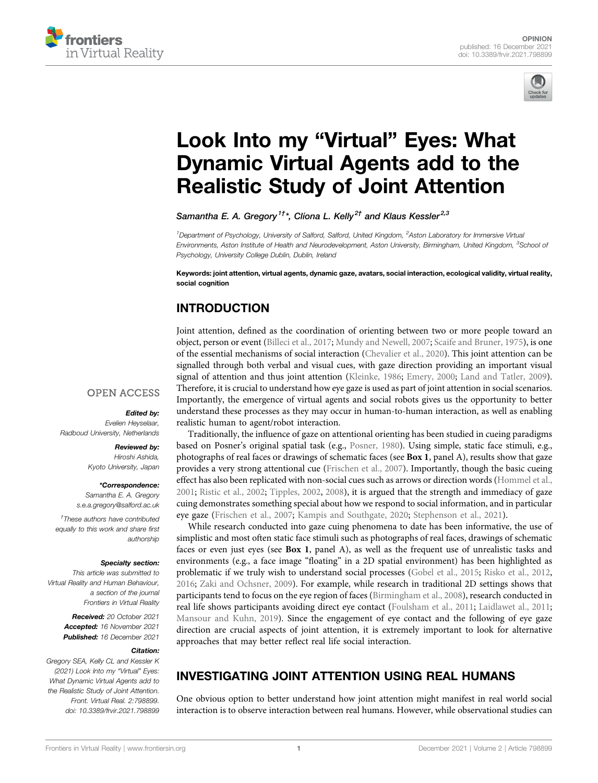



# [Look Into my](https://www.frontiersin.org/articles/10.3389/frvir.2021.798899/full) "Virtual" Eyes: What [Dynamic Virtual Agents add to the](https://www.frontiersin.org/articles/10.3389/frvir.2021.798899/full) [Realistic Study of Joint Attention](https://www.frontiersin.org/articles/10.3389/frvir.2021.798899/full)

Samantha E. A. Gregory<sup>1†\*</sup>, Clíona L. Kelly<sup>2†</sup> and Klaus Kessler<sup>2,3</sup>

<sup>1</sup>Department of Psychology, University of Salford, Salford, United Kingdom, <sup>2</sup>Aston Laboratory for Immersive Virtual Environments, Aston Institute of Health and Neurodevelopment, Aston University, Birmingham, United Kingdom, <sup>3</sup>School o*f* Psychology, University College Dublin, Dublin, Ireland

Keywords: joint attention, virtual agents, dynamic gaze, avatars, social interaction, ecological validity, virtual reality, social cognition

# INTRODUCTION

Joint attention, defined as the coordination of orienting between two or more people toward an object, person or event ([Billeci et al., 2017](#page-3-0); [Mundy and Newell, 2007](#page-4-0); [Scaife and Bruner, 1975\)](#page-4-1), is one of the essential mechanisms of social interaction ([Chevalier et al., 2020](#page-3-1)). This joint attention can be signalled through both verbal and visual cues, with gaze direction providing an important visual signal of attention and thus joint attention [\(Kleinke, 1986;](#page-3-2) [Emery, 2000](#page-3-3); [Land and Tatler, 2009\)](#page-4-2). Therefore, it is crucial to understand how eye gaze is used as part of joint attention in social scenarios. Importantly, the emergence of virtual agents and social robots gives us the opportunity to better understand these processes as they may occur in human-to-human interaction, as well as enabling realistic human to agent/robot interaction.

## **OPEN ACCESS**

## Edited by:

Evelien Heyselaar, Radboud University, Netherlands

## Reviewed by:

Hiroshi Ashida, Kyoto University, Japan

#### \*Correspondence:

Samantha E. A. Gregory [s.e.a.gregory@salford.ac.uk](mailto:s.e.a.gregory@salford.ac.uk)

† These authors have contributed equally to this work and share first authorship

#### Specialty section:

This article was submitted to Virtual Reality and Human Behaviour, a section of the journal Frontiers in Virtual Reality

> Received: 20 October 2021 Accepted: 16 November 2021 Published: 16 December 2021

## Citation:

Gregory SEA, Kelly CL and Kessler K (2021) Look Into my "Virtual" Eyes: What Dynamic Virtual Agents add to the Realistic Study of Joint Attention. Front. Virtual Real. 2:798899. doi: [10.3389/frvir.2021.798899](https://doi.org/10.3389/frvir.2021.798899)

Traditionally, the influence of gaze on attentional orienting has been studied in cueing paradigms based on Posner's original spatial task (e.g., [Posner, 1980\)](#page-4-3). Using simple, static face stimuli, e.g., photographs of real faces or drawings of schematic faces (see [Box 1](#page-1-0), panel A), results show that gaze provides a very strong attentional cue [\(Frischen et al., 2007](#page-3-4)). Importantly, though the basic cueing effect has also been replicated with non-social cues such as arrows or direction words [\(Hommel et al.,](#page-3-5) [2001;](#page-3-5) [Ristic et al., 2002;](#page-4-4) [Tipples, 2002](#page-4-5), [2008](#page-4-6)), it is argued that the strength and immediacy of gaze cuing demonstrates something special about how we respond to social information, and in particular eye gaze ([Frischen et al., 2007](#page-3-4); [Kampis and Southgate, 2020;](#page-3-6) [Stephenson et al., 2021](#page-4-7)).

While research conducted into gaze cuing phenomena to date has been informative, the use of simplistic and most often static face stimuli such as photographs of real faces, drawings of schematic faces or even just eyes (see [Box 1](#page-1-0), panel A), as well as the frequent use of unrealistic tasks and environments (e.g., a face image "floating" in a 2D spatial environment) has been highlighted as problematic if we truly wish to understand social processes ([Gobel et al., 2015;](#page-3-7) [Risko et al., 2012,](#page-4-8) [2016;](#page-4-9) [Zaki and Ochsner, 2009](#page-4-10)). For example, while research in traditional 2D settings shows that participants tend to focus on the eye region of faces [\(Birmingham et al., 2008\)](#page-3-8), research conducted in real life shows participants avoiding direct eye contact ([Foulsham et al., 2011;](#page-3-9) [Laidlawet al., 2011;](#page-4-11) [Mansour and Kuhn, 2019](#page-4-12)). Since the engagement of eye contact and the following of eye gaze direction are crucial aspects of joint attention, it is extremely important to look for alternative approaches that may better reflect real life social interaction.

# INVESTIGATING JOINT ATTENTION USING REAL HUMANS

One obvious option to better understand how joint attention might manifest in real world social interaction is to observe interaction between real humans. However, while observational studies can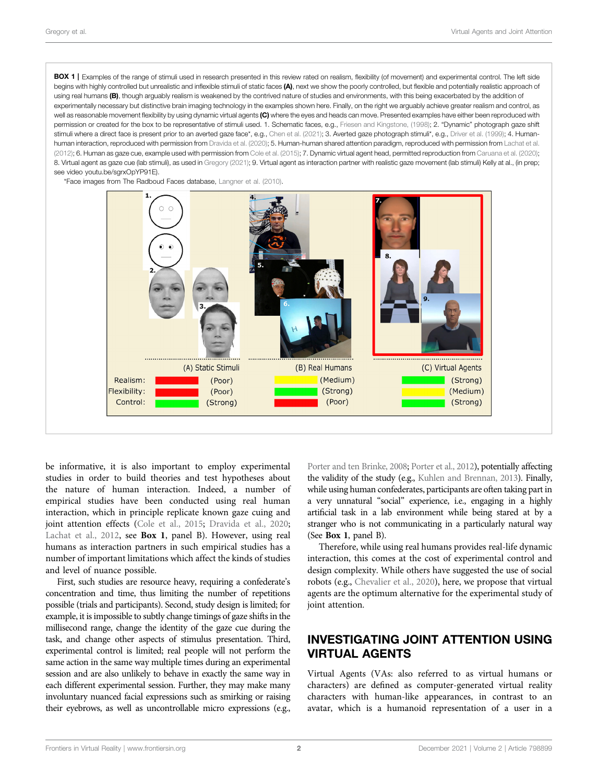<span id="page-1-0"></span>BOX 1 | Examples of the range of stimuli used in research presented in this review rated on realism, flexibility (of movement) and experimental control. The left side begins with highly controlled but unrealistic and inflexible stimuli of static faces (A), next we show the poorly controlled, but flexible and potentially realistic approach of using real humans (B), though arguably realism is weakened by the contrived nature of studies and environments, with this being exacerbated by the addition of experimentally necessary but distinctive brain imaging technology in the examples shown here. Finally, on the right we arguably achieve greater realism and control, as well as reasonable movement flexibility by using dynamic virtual agents (C) where the eyes and heads can move. Presented examples have either been reproduced with permission or created for the box to be representative of stimuli used. 1. Schematic faces, e.g., [Friesen and Kingstone, \(1998\);](#page-3-12) 2. "Dynamic" photograph gaze shift stimuli where a direct face is present prior to an averted gaze face\*, e.g., [Chen et al. \(2021\)](#page-3-13); 3. Averted gaze photograph stimuli\*, e.g., [Driver et al. \(1999\)](#page-3-14); 4. Human-human interaction, reproduced with permission from [Dravida et al. \(2020\)](#page-3-11); 5. Human-human shared attention paradigm, reproduced with permission from [Lachat et al.](#page-4-13) [\(2012\);](#page-4-13) 6. Human as gaze cue, example used with permission from [Cole et al. \(2015\)](#page-3-10); 7. Dynamic virtual agent head, permitted reproduction from [Caruana et al. \(2020\);](#page-3-15) 8. Virtual agent as gaze cue (lab stimuli), as used in [Gregory \(2021\);](#page-3-16) 9. Virtual agent as interaction partner with realistic gaze movement (lab stimuli) Kelly at al., (in prep; see video [youtu.be/sgrxOpYP91E](https://youtu.be/sgrxOpYP91E)).

\*Face images from The Radboud Faces database, [Langner et al. \(2010\)](#page-4-17).



be informative, it is also important to employ experimental studies in order to build theories and test hypotheses about the nature of human interaction. Indeed, a number of empirical studies have been conducted using real human interaction, which in principle replicate known gaze cuing and joint attention effects ([Cole et al., 2015](#page-3-10); [Dravida et al., 2020](#page-3-11); [Lachat et al., 2012,](#page-4-13) see [Box 1](#page-1-0), panel B). However, using real humans as interaction partners in such empirical studies has a number of important limitations which affect the kinds of studies and level of nuance possible.

First, such studies are resource heavy, requiring a confederate's concentration and time, thus limiting the number of repetitions possible (trials and participants). Second, study design is limited; for example, it is impossible to subtly change timings of gaze shifts in the millisecond range, change the identity of the gaze cue during the task, and change other aspects of stimulus presentation. Third, experimental control is limited; real people will not perform the same action in the same way multiple times during an experimental session and are also unlikely to behave in exactly the same way in each different experimental session. Further, they may make many involuntary nuanced facial expressions such as smirking or raising their eyebrows, as well as uncontrollable micro expressions (e.g.,

[Porter and ten Brinke, 2008](#page-4-14); [Porter et al., 2012](#page-4-15)), potentially affecting the validity of the study (e.g., [Kuhlen and Brennan, 2013\)](#page-4-16). Finally, while using human confederates, participants are often taking part in a very unnatural "social" experience, i.e., engaging in a highly artificial task in a lab environment while being stared at by a stranger who is not communicating in a particularly natural way (See [Box 1](#page-1-0), panel B).

Therefore, while using real humans provides real-life dynamic interaction, this comes at the cost of experimental control and design complexity. While others have suggested the use of social robots (e.g., [Chevalier et al., 2020\)](#page-3-1), here, we propose that virtual agents are the optimum alternative for the experimental study of joint attention.

## INVESTIGATING JOINT ATTENTION USING VIRTUAL AGENTS

Virtual Agents (VAs: also referred to as virtual humans or characters) are defined as computer-generated virtual reality characters with human-like appearances, in contrast to an avatar, which is a humanoid representation of a user in a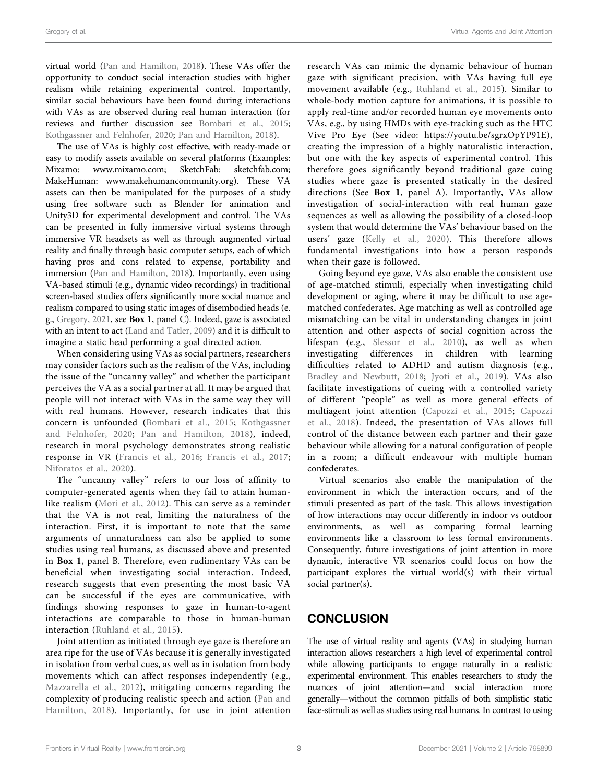virtual world ([Pan and Hamilton, 2018](#page-4-18)). These VAs offer the opportunity to conduct social interaction studies with higher realism while retaining experimental control. Importantly, similar social behaviours have been found during interactions with VAs as are observed during real human interaction (for reviews and further discussion see [Bombari et al., 2015](#page-3-17); [Kothgassner and Felnhofer, 2020](#page-4-19); [Pan and Hamilton, 2018](#page-4-18)).

The use of VAs is highly cost effective, with ready-made or easy to modify assets available on several platforms (Examples: Mixamo: [www.mixamo.com;](http://www.mixamo.com) SketchFab: [sketchfab.com](http://sketchfab.com); MakeHuman: [www.makehumancommunity.org](http://www.makehumancommunity.org)). These VA assets can then be manipulated for the purposes of a study using free software such as Blender for animation and Unity3D for experimental development and control. The VAs can be presented in fully immersive virtual systems through immersive VR headsets as well as through augmented virtual reality and finally through basic computer setups, each of which having pros and cons related to expense, portability and immersion ([Pan and Hamilton, 2018](#page-4-18)). Importantly, even using VA-based stimuli (e.g., dynamic video recordings) in traditional screen-based studies offers significantly more social nuance and realism compared to using static images of disembodied heads (e. g., [Gregory, 2021](#page-3-16), see [Box 1](#page-1-0), panel C). Indeed, gaze is associated with an intent to act ([Land and Tatler, 2009](#page-4-2)) and it is difficult to imagine a static head performing a goal directed action.

When considering using VAs as social partners, researchers may consider factors such as the realism of the VAs, including the issue of the "uncanny valley" and whether the participant perceives the VA as a social partner at all. It may be argued that people will not interact with VAs in the same way they will with real humans. However, research indicates that this concern is unfounded ([Bombari et al., 2015;](#page-3-17) [Kothgassner](#page-4-19) [and Felnhofer, 2020;](#page-4-19) [Pan and Hamilton, 2018\)](#page-4-18), indeed, research in moral psychology demonstrates strong realistic response in VR [\(Francis et al., 2016](#page-3-18); [Francis et al., 2017](#page-3-19); [Niforatos et al., 2020\)](#page-4-20).

The "uncanny valley" refers to our loss of affinity to computer-generated agents when they fail to attain humanlike realism ([Mori et al., 2012\)](#page-4-21). This can serve as a reminder that the VA is not real, limiting the naturalness of the interaction. First, it is important to note that the same arguments of unnaturalness can also be applied to some studies using real humans, as discussed above and presented in [Box 1](#page-1-0), panel B. Therefore, even rudimentary VAs can be beneficial when investigating social interaction. Indeed, research suggests that even presenting the most basic VA can be successful if the eyes are communicative, with findings showing responses to gaze in human-to-agent interactions are comparable to those in human-human interaction [\(Ruhland et al., 2015\)](#page-4-22).

Joint attention as initiated through eye gaze is therefore an area ripe for the use of VAs because it is generally investigated in isolation from verbal cues, as well as in isolation from body movements which can affect responses independently (e.g., [Mazzarella et al., 2012](#page-4-23)), mitigating concerns regarding the complexity of producing realistic speech and action ([Pan and](#page-4-18) [Hamilton, 2018\)](#page-4-18). Importantly, for use in joint attention

research VAs can mimic the dynamic behaviour of human gaze with significant precision, with VAs having full eye movement available (e.g., [Ruhland et al., 2015](#page-4-22)). Similar to whole-body motion capture for animations, it is possible to apply real-time and/or recorded human eye movements onto VAs, e.g., by using HMDs with eye-tracking such as the HTC Vive Pro Eye (See video: [https://youtu.be/sgrxOpYP91E](https://youtu.be/a5yBl4OL500)), creating the impression of a highly naturalistic interaction, but one with the key aspects of experimental control. This therefore goes significantly beyond traditional gaze cuing studies where gaze is presented statically in the desired directions (See [Box 1](#page-1-0), panel A). Importantly, VAs allow investigation of social-interaction with real human gaze sequences as well as allowing the possibility of a closed-loop system that would determine the VAs' behaviour based on the users' gaze ([Kelly et al., 2020](#page-3-20)). This therefore allows fundamental investigations into how a person responds when their gaze is followed.

Going beyond eye gaze, VAs also enable the consistent use of age-matched stimuli, especially when investigating child development or aging, where it may be difficult to use agematched confederates. Age matching as well as controlled age mismatching can be vital in understanding changes in joint attention and other aspects of social cognition across the lifespan (e.g., [Slessor et al., 2010\)](#page-4-24), as well as when investigating differences in children with learning difficulties related to ADHD and autism diagnosis (e.g., [Bradley and Newbutt, 2018](#page-3-21); [Jyoti et al., 2019](#page-3-22)). VAs also facilitate investigations of cueing with a controlled variety of different "people" as well as more general effects of multiagent joint attention ([Capozzi et al., 2015](#page-3-23); [Capozzi](#page-3-24) [et al., 2018](#page-3-24)). Indeed, the presentation of VAs allows full control of the distance between each partner and their gaze behaviour while allowing for a natural configuration of people in a room; a difficult endeavour with multiple human confederates.

Virtual scenarios also enable the manipulation of the environment in which the interaction occurs, and of the stimuli presented as part of the task. This allows investigation of how interactions may occur differently in indoor vs outdoor environments, as well as comparing formal learning environments like a classroom to less formal environments. Consequently, future investigations of joint attention in more dynamic, interactive VR scenarios could focus on how the participant explores the virtual world(s) with their virtual social partner(s).

# **CONCLUSION**

The use of virtual reality and agents (VAs) in studying human interaction allows researchers a high level of experimental control while allowing participants to engage naturally in a realistic experimental environment. This enables researchers to study the nuances of joint attention—and social interaction more generally—without the common pitfalls of both simplistic static face-stimuli as well as studies using real humans. In contrast to using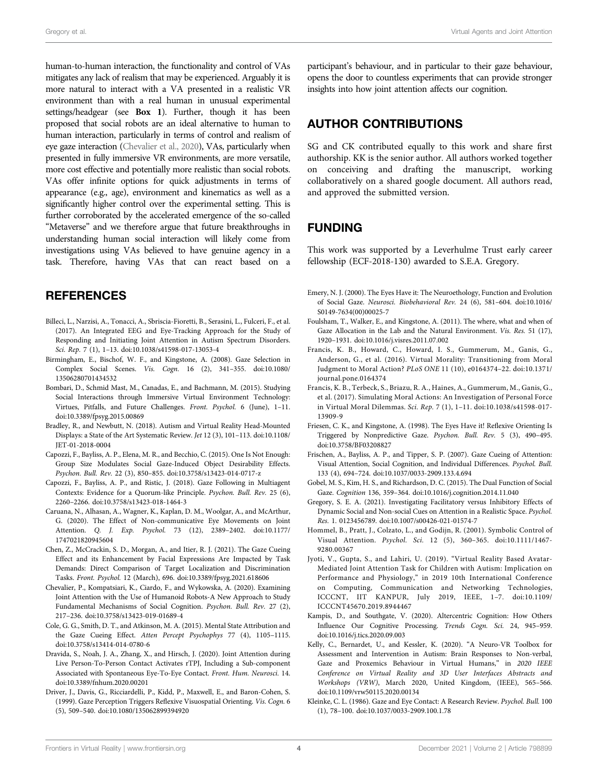human-to-human interaction, the functionality and control of VAs mitigates any lack of realism that may be experienced. Arguably it is more natural to interact with a VA presented in a realistic VR environment than with a real human in unusual experimental settings/headgear (see [Box 1](#page-1-0)). Further, though it has been proposed that social robots are an ideal alternative to human to human interaction, particularly in terms of control and realism of eye gaze interaction [\(Chevalier et al., 2020\)](#page-3-1), VAs, particularly when presented in fully immersive VR environments, are more versatile, more cost effective and potentially more realistic than social robots. VAs offer infinite options for quick adjustments in terms of appearance (e.g., age), environment and kinematics as well as a significantly higher control over the experimental setting. This is further corroborated by the accelerated emergence of the so-called "Metaverse" and we therefore argue that future breakthroughs in understanding human social interaction will likely come from investigations using VAs believed to have genuine agency in a task. Therefore, having VAs that can react based on a

## **REFERENCES**

- <span id="page-3-0"></span>Billeci, L., Narzisi, A., Tonacci, A., Sbriscia-Fioretti, B., Serasini, L., Fulceri, F., et al. (2017). An Integrated EEG and Eye-Tracking Approach for the Study of Responding and Initiating Joint Attention in Autism Spectrum Disorders. Sci. Rep. 7 (1), 1–13. doi:[10.1038/s41598-017-13053-4](https://doi.org/10.1038/s41598-017-13053-4)
- <span id="page-3-8"></span>Birmingham, E., Bischof, W. F., and Kingstone, A. (2008). Gaze Selection in Complex Social Scenes. Vis. Cogn. 16 (2), 341–355. doi:[10.1080/](https://doi.org/10.1080/13506280701434532) [13506280701434532](https://doi.org/10.1080/13506280701434532)
- <span id="page-3-17"></span>Bombari, D., Schmid Mast, M., Canadas, E., and Bachmann, M. (2015). Studying Social Interactions through Immersive Virtual Environment Technology: Virtues, Pitfalls, and Future Challenges. Front. Psychol. 6 (June), 1–11. doi:[10.3389/fpsyg.2015.00869](https://doi.org/10.3389/fpsyg.2015.00869)
- <span id="page-3-21"></span>Bradley, R., and Newbutt, N. (2018). Autism and Virtual Reality Head-Mounted Displays: a State of the Art Systematic Review. Jet 12 (3), 101–113. doi:[10.1108/](https://doi.org/10.1108/JET-01-2018-0004) [JET-01-2018-0004](https://doi.org/10.1108/JET-01-2018-0004)
- <span id="page-3-23"></span>Capozzi, F., Bayliss, A. P., Elena, M. R., and Becchio, C. (2015). One Is Not Enough: Group Size Modulates Social Gaze-Induced Object Desirability Effects. Psychon. Bull. Rev. 22 (3), 850–855. doi:[10.3758/s13423-014-0717-z](https://doi.org/10.3758/s13423-014-0717-z)
- <span id="page-3-24"></span>Capozzi, F., Bayliss, A. P., and Ristic, J. (2018). Gaze Following in Multiagent Contexts: Evidence for a Quorum-like Principle. Psychon. Bull. Rev. 25 (6), 2260–2266. doi[:10.3758/s13423-018-1464-3](https://doi.org/10.3758/s13423-018-1464-3)
- <span id="page-3-15"></span>Caruana, N., Alhasan, A., Wagner, K., Kaplan, D. M., Woolgar, A., and McArthur, G. (2020). The Effect of Non-communicative Eye Movements on Joint Attention. Q. J. Exp. Psychol. 73 (12), 2389–2402. doi:[10.1177/](https://doi.org/10.1177/1747021820945604) [1747021820945604](https://doi.org/10.1177/1747021820945604)
- <span id="page-3-13"></span>Chen, Z., McCrackin, S. D., Morgan, A., and Itier, R. J. (2021). The Gaze Cueing Effect and its Enhancement by Facial Expressions Are Impacted by Task Demands: Direct Comparison of Target Localization and Discrimination Tasks. Front. Psychol. 12 (March), 696. doi:[10.3389/fpsyg.2021.618606](https://doi.org/10.3389/fpsyg.2021.618606)
- <span id="page-3-1"></span>Chevalier, P., Kompatsiari, K., Ciardo, F., and Wykowska, A. (2020). Examining Joint Attention with the Use of Humanoid Robots-A New Approach to Study Fundamental Mechanisms of Social Cognition. Psychon. Bull. Rev. 27 (2), 217–236. doi:[10.3758/s13423-019-01689-4](https://doi.org/10.3758/s13423-019-01689-4)
- <span id="page-3-10"></span>Cole, G. G., Smith, D. T., and Atkinson, M. A. (2015). Mental State Attribution and the Gaze Cueing Effect. Atten Percept Psychophys 77 (4), 1105–1115. doi:[10.3758/s13414-014-0780-6](https://doi.org/10.3758/s13414-014-0780-6)
- <span id="page-3-11"></span>Dravida, S., Noah, J. A., Zhang, X., and Hirsch, J. (2020). Joint Attention during Live Person-To-Person Contact Activates rTPJ, Including a Sub-component Associated with Spontaneous Eye-To-Eye Contact. Front. Hum. Neurosci. 14. doi:[10.3389/fnhum.2020.00201](https://doi.org/10.3389/fnhum.2020.00201)
- <span id="page-3-14"></span>Driver, J., Davis, G., Ricciardelli, P., Kidd, P., Maxwell, E., and Baron-Cohen, S. (1999). Gaze Perception Triggers Reflexive Visuospatial Orienting. Vis. Cogn. 6 (5), 509–540. doi:[10.1080/135062899394920](https://doi.org/10.1080/135062899394920)

participant's behaviour, and in particular to their gaze behaviour, opens the door to countless experiments that can provide stronger insights into how joint attention affects our cognition.

# AUTHOR CONTRIBUTIONS

SG and CK contributed equally to this work and share first authorship. KK is the senior author. All authors worked together on conceiving and drafting the manuscript, working collaboratively on a shared google document. All authors read, and approved the submitted version.

## FUNDING

This work was supported by a Leverhulme Trust early career fellowship (ECF-2018-130) awarded to S.E.A. Gregory.

- <span id="page-3-3"></span>Emery, N. J. (2000). The Eyes Have it: The Neuroethology, Function and Evolution of Social Gaze. Neurosci. Biobehavioral Rev. 24 (6), 581–604. doi[:10.1016/](https://doi.org/10.1016/S0149-7634(00)00025-7) [S0149-7634\(00\)00025-7](https://doi.org/10.1016/S0149-7634(00)00025-7)
- <span id="page-3-9"></span>Foulsham, T., Walker, E., and Kingstone, A. (2011). The where, what and when of Gaze Allocation in the Lab and the Natural Environment. Vis. Res. 51 (17), 1920–1931. doi:[10.1016/j.visres.2011.07.002](https://doi.org/10.1016/j.visres.2011.07.002)
- <span id="page-3-18"></span>Francis, K. B., Howard, C., Howard, I. S., Gummerum, M., Ganis, G., Anderson, G., et al. (2016). Virtual Morality: Transitioning from Moral Judgment to Moral Action? PLoS ONE 11 (10), e0164374–22. doi:[10.1371/](https://doi.org/10.1371/journal.pone.0164374) [journal.pone.0164374](https://doi.org/10.1371/journal.pone.0164374)
- <span id="page-3-19"></span>Francis, K. B., Terbeck, S., Briazu, R. A., Haines, A., Gummerum, M., Ganis, G., et al. (2017). Simulating Moral Actions: An Investigation of Personal Force in Virtual Moral Dilemmas. Sci. Rep. 7 (1), 1–11. doi:[10.1038/s41598-017-](https://doi.org/10.1038/s41598-017-13909-9) [13909-9](https://doi.org/10.1038/s41598-017-13909-9)
- <span id="page-3-12"></span>Friesen, C. K., and Kingstone, A. (1998). The Eyes Have it! Reflexive Orienting Is Triggered by Nonpredictive Gaze. Psychon. Bull. Rev. 5 (3), 490–495. doi[:10.3758/BF03208827](https://doi.org/10.3758/BF03208827)
- <span id="page-3-4"></span>Frischen, A., Bayliss, A. P., and Tipper, S. P. (2007). Gaze Cueing of Attention: Visual Attention, Social Cognition, and Individual Differences. Psychol. Bull. 133 (4), 694–724. doi:[10.1037/0033-2909.133.4.694](https://doi.org/10.1037/0033-2909.133.4.694)
- <span id="page-3-7"></span>Gobel, M. S., Kim, H. S., and Richardson, D. C. (2015). The Dual Function of Social Gaze. Cognition 136, 359–364. doi[:10.1016/j.cognition.2014.11.040](https://doi.org/10.1016/j.cognition.2014.11.040)
- <span id="page-3-16"></span>Gregory, S. E. A. (2021). Investigating Facilitatory versus Inhibitory Effects of Dynamic Social and Non-social Cues on Attention in a Realistic Space. Psychol. Res. 1. 0123456789. doi[:10.1007/s00426-021-01574-7](https://doi.org/10.1007/s00426-021-01574-7)

<span id="page-3-5"></span>Hommel, B., Pratt, J., Colzato, L., and Godijn, R. (2001). Symbolic Control of Visual Attention. Psychol. Sci. 12 (5), 360–365. doi:[10.1111/1467-](https://doi.org/10.1111/1467-9280.00367) [9280.00367](https://doi.org/10.1111/1467-9280.00367)

- <span id="page-3-22"></span>Jyoti, V., Gupta, S., and Lahiri, U. (2019). "Virtual Reality Based Avatar-Mediated Joint Attention Task for Children with Autism: Implication on Performance and Physiology," in 2019 10th International Conference on Computing, Communication and Networking Technologies, ICCCNT, IIT KANPUR, July 2019, IEEE, 1–7. doi:[10.1109/](https://doi.org/10.1109/ICCCNT45670.2019.8944467) [ICCCNT45670.2019.8944467](https://doi.org/10.1109/ICCCNT45670.2019.8944467)
- <span id="page-3-6"></span>Kampis, D., and Southgate, V. (2020). Altercentric Cognition: How Others Influence Our Cognitive Processing. Trends Cogn. Sci. 24, 945–959. doi[:10.1016/j.tics.2020.09.003](https://doi.org/10.1016/j.tics.2020.09.003)
- <span id="page-3-20"></span>Kelly, C., Bernardet, U., and Kessler, K. (2020). "A Neuro-VR Toolbox for Assessment and Intervention in Autism: Brain Responses to Non-verbal, Gaze and Proxemics Behaviour in Virtual Humans," in 2020 IEEE Conference on Virtual Reality and 3D User Interfaces Abstracts and Workshops (VRW), March 2020, United Kingdom, (IEEE), 565–566. doi[:10.1109/vrw50115.2020.00134](https://doi.org/10.1109/vrw50115.2020.00134)
- <span id="page-3-2"></span>Kleinke, C. L. (1986). Gaze and Eye Contact: A Research Review. Psychol. Bull. 100 (1), 78–100. doi[:10.1037/0033-2909.100.1.78](https://doi.org/10.1037/0033-2909.100.1.78)